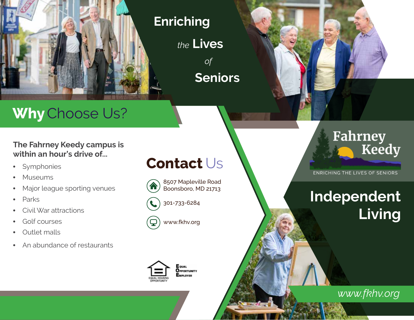

#### **Enriching**

*the* **Lives** *of* **Seniors**

# **Why** Choose Us?

**The Fahrney Keedy campus is within an hour's drive of...**

- Symphonies
- **Museums**
- Major league sporting venues
- Parks
- Civil War attractions
- Golf courses
- Outlet malls
- An abundance of restaurants

### **Contact** Us

8507 Mapleville Road Boonsboro, MD 21713





www.fkhv.org



### **Fahrney** Keedy

*v*

**ENRICHING THE LIVES OF SENIORS** 

# **Independent Living**